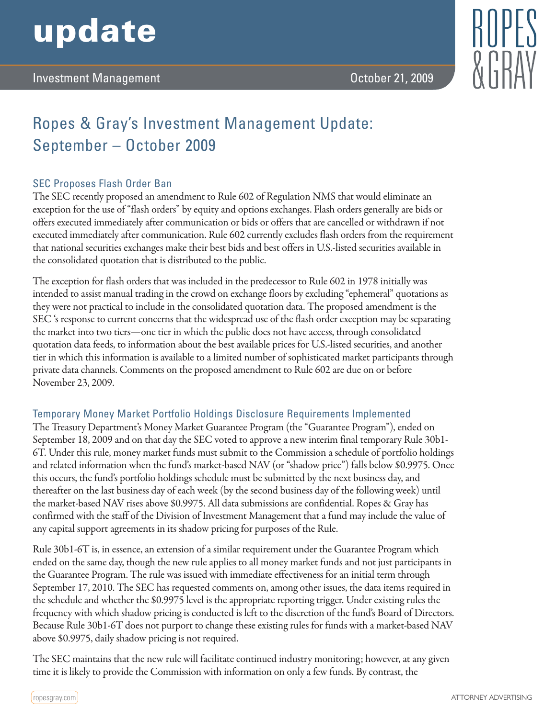# update



# Ropes & Gray's Investment Management Update: September – October 2009

## SEC Proposes Flash Order Ban

The SEC recently proposed an amendment to Rule 602 of Regulation NMS that would eliminate an exception for the use of "flash orders" by equity and options exchanges. Flash orders generally are bids or offers executed immediately after communication or bids or offers that are cancelled or withdrawn if not executed immediately after communication. Rule 602 currently excludes flash orders from the requirement that national securities exchanges make their best bids and best offers in U.S.-listed securities available in the consolidated quotation that is distributed to the public.

The exception for flash orders that was included in the predecessor to Rule 602 in 1978 initially was intended to assist manual trading in the crowd on exchange floors by excluding "ephemeral" quotations as they were not practical to include in the consolidated quotation data. The proposed amendment is the SEC 's response to current concerns that the widespread use of the flash order exception may be separating the market into two tiers—one tier in which the public does not have access, through consolidated quotation data feeds, to information about the best available prices for U.S.-listed securities, and another tier in which this information is available to a limited number of sophisticated market participants through private data channels. Comments on the proposed amendment to Rule 602 are due on or before November 23, 2009.

## Temporary Money Market Portfolio Holdings Disclosure Requirements Implemented

The Treasury Department's Money Market Guarantee Program (the "Guarantee Program"), ended on September 18, 2009 and on that day the SEC voted to approve a new interim final temporary Rule 30b1- 6T. Under this rule, money market funds must submit to the Commission a schedule of portfolio holdings and related information when the fund's market-based NAV (or "shadow price") falls below \$0.9975. Once this occurs, the fund's portfolio holdings schedule must be submitted by the next business day, and thereafter on the last business day of each week (by the second business day of the following week) until the market-based NAV rises above \$0.9975. All data submissions are confidential. Ropes & Gray has confirmed with the staff of the Division of Investment Management that a fund may include the value of any capital support agreements in its shadow pricing for purposes of the Rule.

Rule 30b1-6T is, in essence, an extension of a similar requirement under the Guarantee Program which ended on the same day, though the new rule applies to all money market funds and not just participants in the Guarantee Program. The rule was issued with immediate effectiveness for an initial term through September 17, 2010. The SEC has requested comments on, among other issues, the data items required in the schedule and whether the \$0.9975 level is the appropriate reporting trigger. Under existing rules the frequency with which shadow pricing is conducted is left to the discretion of the fund's Board of Directors. Because Rule 30b1-6T does not purport to change these existing rules for funds with a market-based NAV above \$0.9975, daily shadow pricing is not required.

The SEC maintains that the new rule will facilitate continued industry monitoring; however, at any given time it is likely to provide the Commission with information on only a few funds. By contrast, the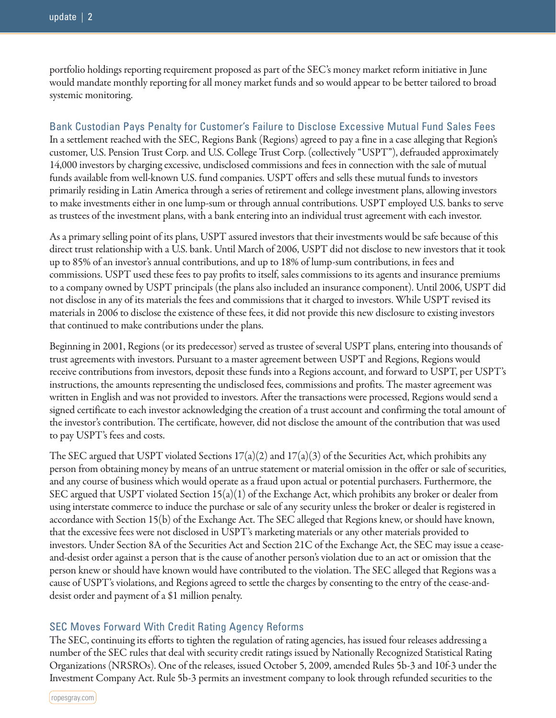portfolio holdings reporting requirement proposed as part of the SEC's money market reform initiative in June would mandate monthly reporting for all money market funds and so would appear to be better tailored to broad systemic monitoring.

Bank Custodian Pays Penalty for Customer's Failure to Disclose Excessive Mutual Fund Sales Fees In a settlement reached with the SEC, Regions Bank (Regions) agreed to pay a fine in a case alleging that Region's customer, U.S. Pension Trust Corp. and U.S. College Trust Corp. (collectively "USPT"), defrauded approximately 14,000 investors by charging excessive, undisclosed commissions and fees in connection with the sale of mutual funds available from well-known U.S. fund companies. USPT offers and sells these mutual funds to investors primarily residing in Latin America through a series of retirement and college investment plans, allowing investors to make investments either in one lump-sum or through annual contributions. USPT employed U.S. banks to serve as trustees of the investment plans, with a bank entering into an individual trust agreement with each investor.

As a primary selling point of its plans, USPT assured investors that their investments would be safe because of this direct trust relationship with a U.S. bank. Until March of 2006, USPT did not disclose to new investors that it took up to 85% of an investor's annual contributions, and up to 18% of lump-sum contributions, in fees and commissions. USPT used these fees to pay profits to itself, sales commissions to its agents and insurance premiums to a company owned by USPT principals (the plans also included an insurance component). Until 2006, USPT did not disclose in any of its materials the fees and commissions that it charged to investors. While USPT revised its materials in 2006 to disclose the existence of these fees, it did not provide this new disclosure to existing investors that continued to make contributions under the plans.

Beginning in 2001, Regions (or its predecessor) served as trustee of several USPT plans, entering into thousands of trust agreements with investors. Pursuant to a master agreement between USPT and Regions, Regions would receive contributions from investors, deposit these funds into a Regions account, and forward to USPT, per USPT's instructions, the amounts representing the undisclosed fees, commissions and profits. The master agreement was written in English and was not provided to investors. After the transactions were processed, Regions would send a signed certificate to each investor acknowledging the creation of a trust account and confirming the total amount of the investor's contribution. The certificate, however, did not disclose the amount of the contribution that was used to pay USPT's fees and costs.

The SEC argued that USPT violated Sections  $17(a)(2)$  and  $17(a)(3)$  of the Securities Act, which prohibits any person from obtaining money by means of an untrue statement or material omission in the offer or sale of securities, and any course of business which would operate as a fraud upon actual or potential purchasers. Furthermore, the SEC argued that USPT violated Section 15(a)(1) of the Exchange Act, which prohibits any broker or dealer from using interstate commerce to induce the purchase or sale of any security unless the broker or dealer is registered in accordance with Section 15(b) of the Exchange Act. The SEC alleged that Regions knew, or should have known, that the excessive fees were not disclosed in USPT's marketing materials or any other materials provided to investors. Under Section 8A of the Securities Act and Section 21C of the Exchange Act, the SEC may issue a ceaseand-desist order against a person that is the cause of another person's violation due to an act or omission that the person knew or should have known would have contributed to the violation. The SEC alleged that Regions was a cause of USPT's violations, and Regions agreed to settle the charges by consenting to the entry of the cease-anddesist order and payment of a \$1 million penalty.

#### SEC Moves Forward With Credit Rating Agency Reforms

The SEC, continuing its efforts to tighten the regulation of rating agencies, has issued four releases addressing a number of the SEC rules that deal with security credit ratings issued by Nationally Recognized Statistical Rating Organizations (NRSROs). One of the releases, issued October 5, 2009, amended Rules 5b-3 and 10f-3 under the Investment Company Act. Rule 5b-3 permits an investment company to look through refunded securities to the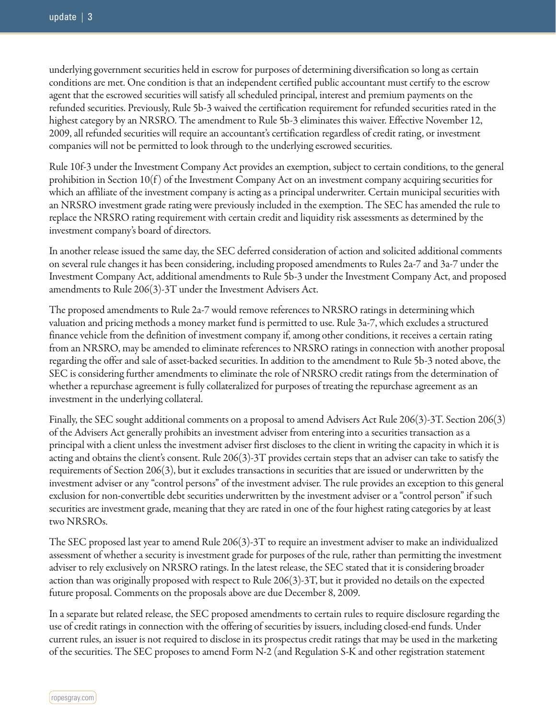underlying government securities held in escrow for purposes of determining diversification so long as certain conditions are met. One condition is that an independent certified public accountant must certify to the escrow agent that the escrowed securities will satisfy all scheduled principal, interest and premium payments on the refunded securities. Previously, Rule 5b-3 waived the certification requirement for refunded securities rated in the highest category by an NRSRO. The amendment to Rule 5b-3 eliminates this waiver. Effective November 12, 2009, all refunded securities will require an accountant's certification regardless of credit rating, or investment companies will not be permitted to look through to the underlying escrowed securities.

Rule 10f-3 under the Investment Company Act provides an exemption, subject to certain conditions, to the general prohibition in Section  $10(f)$  of the Investment Company Act on an investment company acquiring securities for which an affiliate of the investment company is acting as a principal underwriter. Certain municipal securities with an NRSRO investment grade rating were previously included in the exemption. The SEC has amended the rule to replace the NRSRO rating requirement with certain credit and liquidity risk assessments as determined by the investment company's board of directors.

In another release issued the same day, the SEC deferred consideration of action and solicited additional comments on several rule changes it has been considering, including proposed amendments to Rules 2a-7 and 3a-7 under the Investment Company Act, additional amendments to Rule 5b-3 under the Investment Company Act, and proposed amendments to Rule 206(3)-3T under the Investment Advisers Act.

The proposed amendments to Rule 2a-7 would remove references to NRSRO ratings in determining which valuation and pricing methods a money market fund is permitted to use. Rule 3a-7, which excludes a structured finance vehicle from the definition of investment company if, among other conditions, it receives a certain rating from an NRSRO, may be amended to eliminate references to NRSRO ratings in connection with another proposal regarding the offer and sale of asset-backed securities. In addition to the amendment to Rule 5b-3 noted above, the SEC is considering further amendments to eliminate the role of NRSRO credit ratings from the determination of whether a repurchase agreement is fully collateralized for purposes of treating the repurchase agreement as an investment in the underlying collateral.

Finally, the SEC sought additional comments on a proposal to amend Advisers Act Rule 206(3)-3T. Section 206(3) of the Advisers Act generally prohibits an investment adviser from entering into a securities transaction as a principal with a client unless the investment adviser first discloses to the client in writing the capacity in which it is acting and obtains the client's consent. Rule 206(3)-3T provides certain steps that an adviser can take to satisfy the requirements of Section 206(3), but it excludes transactions in securities that are issued or underwritten by the investment adviser or any "control persons" of the investment adviser. The rule provides an exception to this general exclusion for non-convertible debt securities underwritten by the investment adviser or a "control person" if such securities are investment grade, meaning that they are rated in one of the four highest rating categories by at least two NRSROs.

The SEC proposed last year to amend Rule 206(3)-3T to require an investment adviser to make an individualized assessment of whether a security is investment grade for purposes of the rule, rather than permitting the investment adviser to rely exclusively on NRSRO ratings. In the latest release, the SEC stated that it is considering broader action than was originally proposed with respect to Rule 206(3)-3T, but it provided no details on the expected future proposal. Comments on the proposals above are due December 8, 2009.

In a separate but related release, the SEC proposed amendments to certain rules to require disclosure regarding the use of credit ratings in connection with the offering of securities by issuers, including closed-end funds. Under current rules, an issuer is not required to disclose in its prospectus credit ratings that may be used in the marketing of the securities. The SEC proposes to amend Form N-2 (and Regulation S-K and other registration statement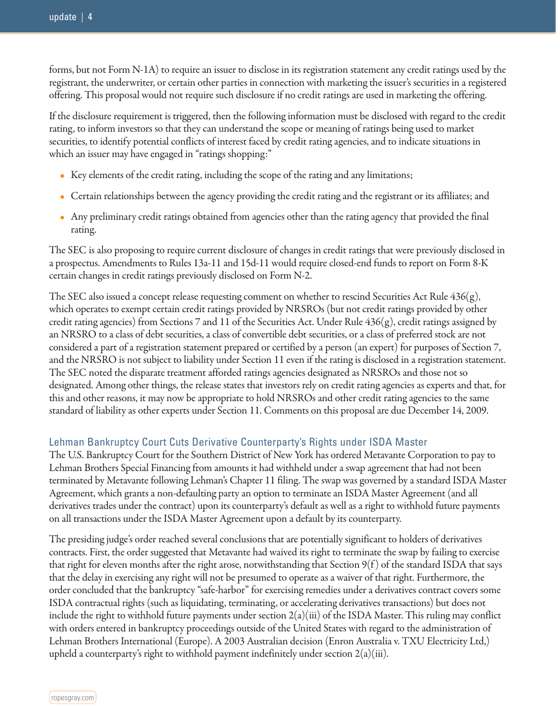forms, but not Form N-1A) to require an issuer to disclose in its registration statement any credit ratings used by the registrant, the underwriter, or certain other parties in connection with marketing the issuer's securities in a registered offering. This proposal would not require such disclosure if no credit ratings are used in marketing the offering.

If the disclosure requirement is triggered, then the following information must be disclosed with regard to the credit rating, to inform investors so that they can understand the scope or meaning of ratings being used to market securities, to identify potential conflicts of interest faced by credit rating agencies, and to indicate situations in which an issuer may have engaged in "ratings shopping:"

- Key elements of the credit rating, including the scope of the rating and any limitations;
- Certain relationships between the agency providing the credit rating and the registrant or its affiliates; and
- Any preliminary credit ratings obtained from agencies other than the rating agency that provided the final rating.

The SEC is also proposing to require current disclosure of changes in credit ratings that were previously disclosed in a prospectus. Amendments to Rules 13a-11 and 15d-11 would require closed-end funds to report on Form 8-K certain changes in credit ratings previously disclosed on Form N-2.

The SEC also issued a concept release requesting comment on whether to rescind Securities Act Rule 436(g), which operates to exempt certain credit ratings provided by NRSROs (but not credit ratings provided by other credit rating agencies) from Sections 7 and 11 of the Securities Act. Under Rule 436(g), credit ratings assigned by an NRSRO to a class of debt securities, a class of convertible debt securities, or a class of preferred stock are not considered a part of a registration statement prepared or certified by a person (an expert) for purposes of Section 7, and the NRSRO is not subject to liability under Section 11 even if the rating is disclosed in a registration statement. The SEC noted the disparate treatment afforded ratings agencies designated as NRSROs and those not so designated. Among other things, the release states that investors rely on credit rating agencies as experts and that, for this and other reasons, it may now be appropriate to hold NRSROs and other credit rating agencies to the same standard of liability as other experts under Section 11. Comments on this proposal are due December 14, 2009.

#### Lehman Bankruptcy Court Cuts Derivative Counterparty's Rights under ISDA Master

The U.S. Bankruptcy Court for the Southern District of New York has ordered Metavante Corporation to pay to Lehman Brothers Special Financing from amounts it had withheld under a swap agreement that had not been terminated by Metavante following Lehman's Chapter 11 filing. The swap was governed by a standard ISDA Master Agreement, which grants a non-defaulting party an option to terminate an ISDA Master Agreement (and all derivatives trades under the contract) upon its counterparty's default as well as a right to withhold future payments on all transactions under the ISDA Master Agreement upon a default by its counterparty.

The presiding judge's order reached several conclusions that are potentially significant to holders of derivatives contracts. First, the order suggested that Metavante had waived its right to terminate the swap by failing to exercise that right for eleven months after the right arose, notwithstanding that Section 9(f ) of the standard ISDA that says that the delay in exercising any right will not be presumed to operate as a waiver of that right. Furthermore, the order concluded that the bankruptcy "safe-harbor" for exercising remedies under a derivatives contract covers some ISDA contractual rights (such as liquidating, terminating, or accelerating derivatives transactions) but does not include the right to withhold future payments under section 2(a)(iii) of the ISDA Master. This ruling may conflict with orders entered in bankruptcy proceedings outside of the United States with regard to the administration of Lehman Brothers International (Europe). A 2003 Australian decision (Enron Australia v. TXU Electricity Ltd,) upheld a counterparty's right to withhold payment indefinitely under section  $2(a)(iii)$ .